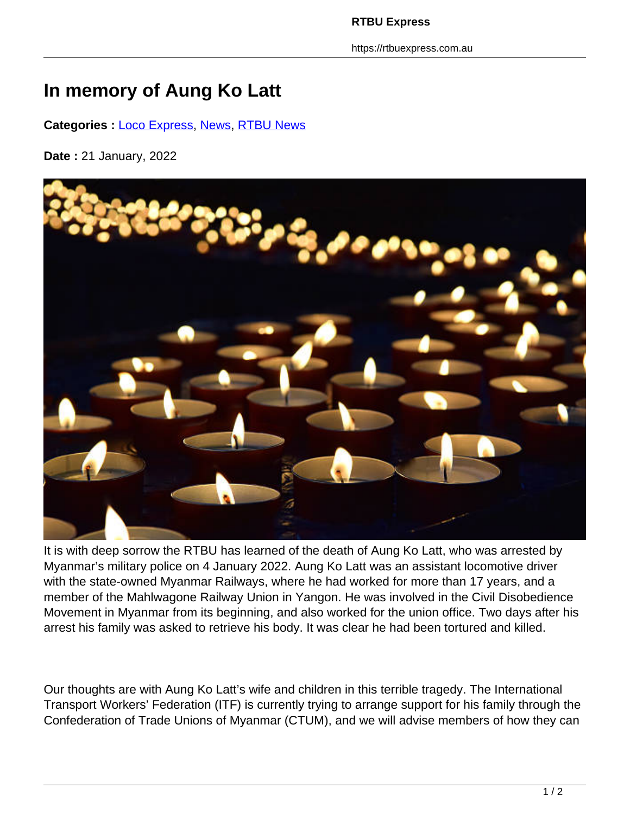**RTBU Express**

https://rtbuexpress.com.au

## **In memory of Aung Ko Latt**

**Categories :** [Loco Express,](https://rtbuexpress.com.au/category/news/loco-express/) News, RTBU News

**Date :** 21 January, 2022



It is with deep sorrow the RTBU has learned of the death of Aung Ko Latt, who was arrested by Myanmar's military police on 4 January 2022. Aung Ko Latt was an assistant locomotive driver with the state-owned Myanmar Railways, where he had worked for more than 17 years, and a member of the Mahlwagone Railway Union in Yangon. He was involved in the Civil Disobedience Movement in Myanmar from its beginning, and also worked for the union office. Two days after his arrest his family was asked to retrieve his body. It was clear he had been tortured and killed.

Our thoughts are with Aung Ko Latt's wife and children in this terrible tragedy. The International Transport Workers' Federation (ITF) is currently trying to arrange support for his family through the Confederation of Trade Unions of Myanmar (CTUM), and we will advise members of how they can